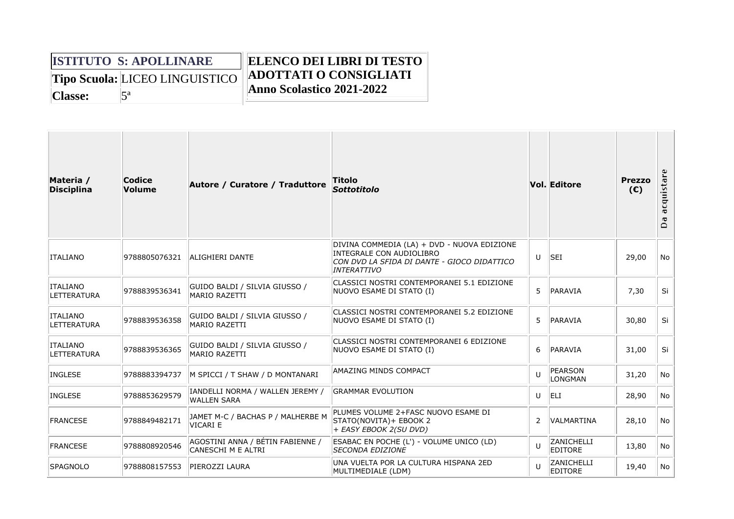|         | <b>ISTITUTO S: APOLLINARE</b>         | <b>ELENCO DEI LIBRI DI TESTO</b> |
|---------|---------------------------------------|----------------------------------|
|         | <b>Tipo Scuola: LICEO LINGUISTICO</b> | <b>ADOTTATI O CONSIGLIATI</b>    |
| Classe: |                                       | Anno Scolastico 2021-2022        |

| Materia /<br><b>Disciplina</b>        | Codice<br><b>Volume</b> | Autore / Curatore / Traduttore                         | Titolo<br><b>Sottotitolo</b>                                                                                                                 |                | <b>Vol. Editore</b>          | <b>Prezzo</b><br>(E) | acquistare<br>ð<br>$\Box$ |
|---------------------------------------|-------------------------|--------------------------------------------------------|----------------------------------------------------------------------------------------------------------------------------------------------|----------------|------------------------------|----------------------|---------------------------|
| <b>ITALIANO</b>                       | 9788805076321           | ALIGHIERI DANTE                                        | DIVINA COMMEDIA (LA) + DVD - NUOVA EDIZIONE<br>INTEGRALE CON AUDIOLIBRO<br>CON DVD LA SFIDA DI DANTE - GIOCO DIDATTICO<br><b>INTERATTIVO</b> | U              | <b>SEI</b>                   | 29,00                | <b>No</b>                 |
| <b>ITALIANO</b><br><b>LETTERATURA</b> | 9788839536341           | GUIDO BALDI / SILVIA GIUSSO /<br><b>MARIO RAZETTI</b>  | CLASSICI NOSTRI CONTEMPORANEI 5.1 EDIZIONE<br>NUOVO ESAME DI STATO (I)                                                                       | 5              | <b>PARAVIA</b>               | 7,30                 | Si                        |
| <b>ITALIANO</b><br><b>LETTERATURA</b> | 9788839536358           | GUIDO BALDI / SILVIA GIUSSO /<br><b>MARIO RAZETTI</b>  | CLASSICI NOSTRI CONTEMPORANEI 5.2 EDIZIONE<br>NUOVO ESAME DI STATO (I)                                                                       | 5              | <b>PARAVIA</b>               | 30,80                | Si                        |
| <b>ITALIANO</b><br>LETTERATURA        | 9788839536365           | GUIDO BALDI / SILVIA GIUSSO /<br><b>MARIO RAZETTI</b>  | CLASSICI NOSTRI CONTEMPORANEI 6 EDIZIONE<br>NUOVO ESAME DI STATO (I)                                                                         | 6              | PARAVIA                      | 31,00                | Si                        |
| <b>INGLESE</b>                        | 9788883394737           | M SPICCI / T SHAW / D MONTANARI                        | AMAZING MINDS COMPACT                                                                                                                        | $\mathbf{U}$   | PEARSON<br><b>LONGMAN</b>    | 31,20                | No                        |
| <b>INGLESE</b>                        | 9788853629579           | IANDELLI NORMA / WALLEN JEREMY /<br><b>WALLEN SARA</b> | <b>GRAMMAR EVOLUTION</b>                                                                                                                     | U              | <b>ELI</b>                   | 28,90                | No                        |
| <b>FRANCESE</b>                       | 9788849482171           | JAMET M-C / BACHAS P / MALHERBE M<br>VICARI E          | PLUMES VOLUME 2+FASC NUOVO ESAME DI<br>STATO(NOVITA)+ EBOOK 2<br>+ EASY EBOOK 2(SU DVD)                                                      | $\overline{2}$ | <b>VALMARTINA</b>            | 28,10                | <b>No</b>                 |
| <b>FRANCESE</b>                       | 9788808920546           | AGOSTINI ANNA / BÉTIN FABIENNE /<br>CANESCHI M E ALTRI | ESABAC EN POCHE (L') - VOLUME UNICO (LD)<br><b>SECONDA EDIZIONE</b>                                                                          | $\mathbf{U}$   | ZANICHELLI<br><b>EDITORE</b> | 13,80                | No                        |
| <b>SPAGNOLO</b>                       | 9788808157553           | PIEROZZI LAURA                                         | UNA VUELTA POR LA CULTURA HISPANA 2ED<br>MULTIMEDIALE (LDM)                                                                                  | $\mathbf{U}$   | ZANICHELLI<br>EDITORE        | 19,40                | No                        |